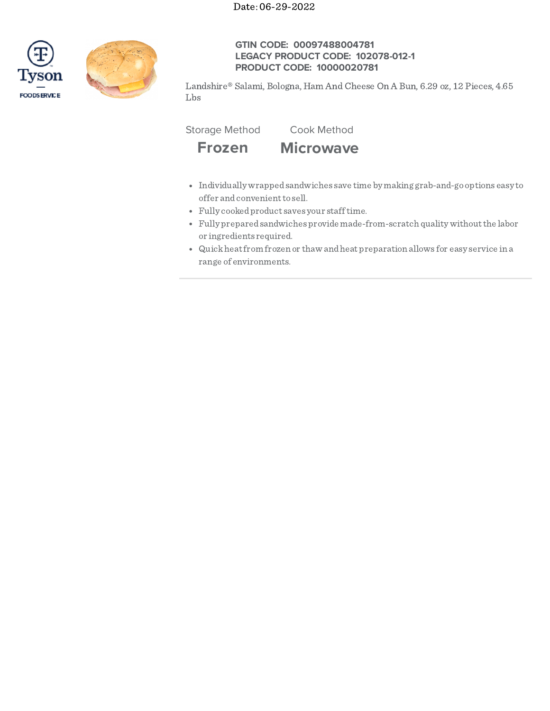



# **GTIN CODE: 00097488004781 LEGACY PRODUCT CODE: 102078-012-1 PRODUCT CODE: 10000020781**

Landshire® Salami, Bologna, Ham And Cheese On A Bun, 6.29 oz, 12 Pieces, 4.65 Lbs

Storage Method Cook Method



- Individually wrappedsandwiches save time by making grab-and-go options easy to offer and convenient to sell.
- Fully cookedproduct saves your stafftime.
- Fully preparedsandwiches provide made-from-scratch quality withoutthe labor or ingredients required.
- Quickheatfrom frozen or thaw andheat preparation allows for easy service in a range of environments.